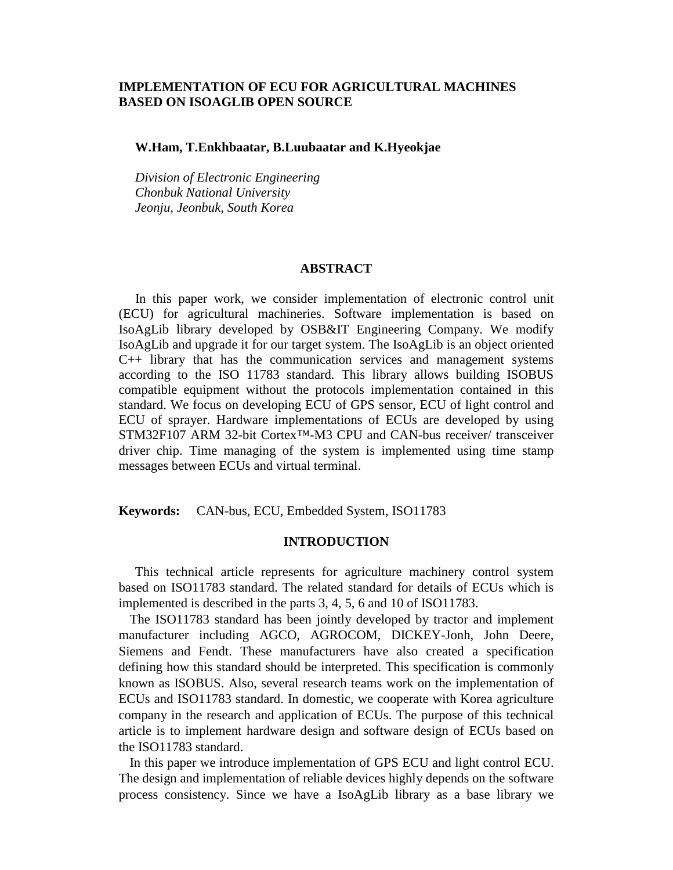# **IMPLEMENTATION OF ECU FOR AGRICULTURAL MACHINES BASED ON ISOAGLIB OPEN SOURCE**

## **W.Ham, T.Enkhbaatar, B.Luubaatar and K.Hyeokjae**

 *Division of Electronic Engineering Chonbuk National University Jeonju, Jeonbuk, South Korea*

### **ABSTRACT**

 In this paper work, we consider implementation of electronic control unit (ECU) for agricultural machineries. Software implementation is based on IsoAgLib library developed by OSB&IT Engineering Company. We modify IsoAgLib and upgrade it for our target system. The IsoAgLib is an object oriented C++ library that has the communication services and management systems according to the ISO 11783 standard. This library allows building ISOBUS compatible equipment without the protocols implementation contained in this standard. We focus on developing ECU of GPS sensor, ECU of light control and ECU of sprayer. Hardware implementations of ECUs are developed by using STM32F107 ARM 32-bit Cortex™-M3 CPU and CAN-bus receiver/ transceiver driver chip. Time managing of the system is implemented using time stamp messages between ECUs and virtual terminal.

**Keywords:** CAN-bus, ECU, Embedded System, ISO11783

### **INTRODUCTION**

 This technical article represents for agriculture machinery control system based on ISO11783 standard. The related standard for details of ECUs which is implemented is described in the parts 3, 4, 5, 6 and 10 of ISO11783.

The ISO11783 standard has been jointly developed by tractor and implement manufacturer including AGCO, AGROCOM, DICKEY-Jonh, John Deere, Siemens and Fendt. These manufacturers have also created a specification defining how this standard should be interpreted. This specification is commonly known as ISOBUS. Also, several research teams work on the implementation of ECUs and ISO11783 standard. In domestic, we cooperate with Korea agriculture company in the research and application of ECUs. The purpose of this technical article is to implement hardware design and software design of ECUs based on the ISO11783 standard.

In this paper we introduce implementation of GPS ECU and light control ECU. The design and implementation of reliable devices highly depends on the software process consistency. Since we have a IsoAgLib library as a base library we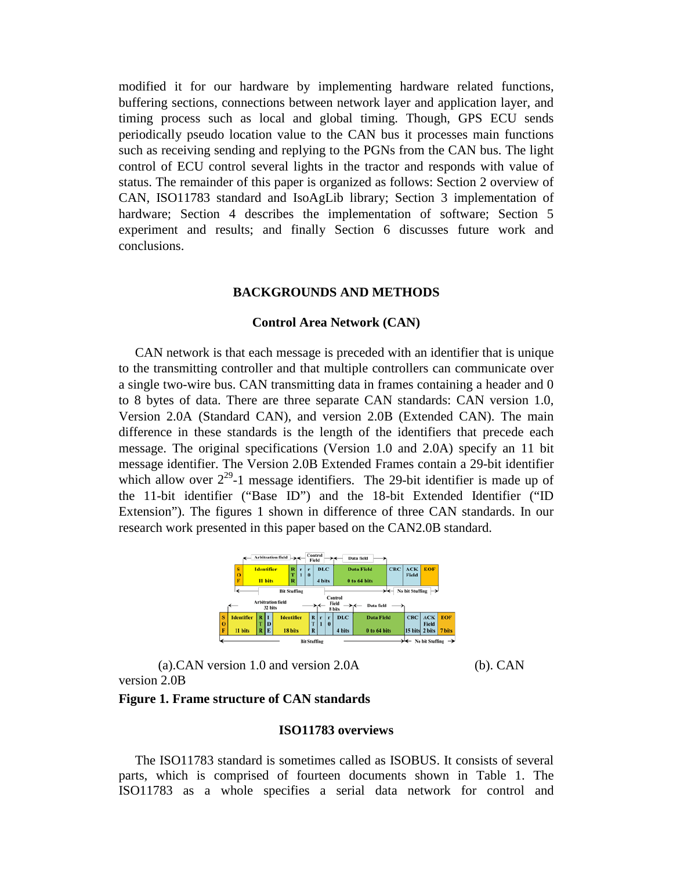modified it for our hardware by implementing hardware related functions, buffering sections, connections between network layer and application layer, and timing process such as local and global timing. Though, GPS ECU sends periodically pseudo location value to the CAN bus it processes main functions such as receiving sending and replying to the PGNs from the CAN bus. The light control of ECU control several lights in the tractor and responds with value of status. The remainder of this paper is organized as follows: Section 2 overview of CAN, ISO11783 standard and IsoAgLib library; Section 3 implementation of hardware; Section 4 describes the implementation of software; Section 5 experiment and results; and finally Section 6 discusses future work and conclusions.

### **BACKGROUNDS AND METHODS**

## **Control Area Network (CAN)**

 CAN network is that each message is preceded with an identifier that is unique to the transmitting controller and that multiple controllers can communicate over a single two-wire bus. CAN transmitting data in frames containing a header and 0 to 8 bytes of data. There are three separate CAN standards: CAN version 1.0, Version 2.0A (Standard CAN), and version 2.0B (Extended CAN). The main difference in these standards is the length of the identifiers that precede each message. The original specifications (Version 1.0 and 2.0A) specify an 11 bit message identifier. The Version 2.0B Extended Frames contain a 29-bit identifier which allow over  $2^{29}$ -1 message identifiers. The 29-bit identifier is made up of the 11-bit identifier ("Base ID") and the 18-bit Extended Identifier ("ID Extension"). The figures 1 shown in difference of three CAN standards. In our research work presented in this paper based on the CAN2.0B standard.



(a).CAN version 1.0 and version 2.0A (b). CAN version 2.0B

### **Figure 1. Frame structure of CAN standards**

### **ISO11783 overviews**

 The ISO11783 standard is sometimes called as ISOBUS. It consists of several parts, which is comprised of fourteen documents shown in Table 1. The ISO11783 as a whole specifies a serial data network for control and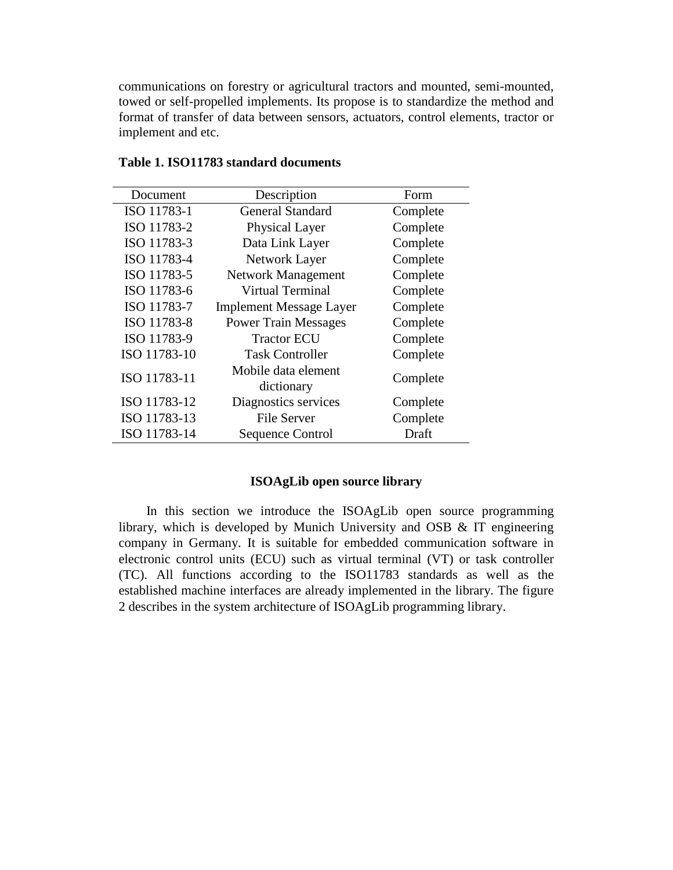communications on forestry or agricultural tractors and mounted, semi-mounted, towed or self-propelled implements. Its propose is to standardize the method and format of transfer of data between sensors, actuators, control elements, tractor or implement and etc.

| Document     | Description                       | Form     |  |  |  |  |
|--------------|-----------------------------------|----------|--|--|--|--|
| ISO 11783-1  | <b>General Standard</b>           | Complete |  |  |  |  |
| ISO 11783-2  | Physical Layer                    | Complete |  |  |  |  |
| ISO 11783-3  | Data Link Layer                   | Complete |  |  |  |  |
| ISO 11783-4  | Network Layer                     | Complete |  |  |  |  |
| ISO 11783-5  | <b>Network Management</b>         | Complete |  |  |  |  |
| ISO 11783-6  | <b>Virtual Terminal</b>           | Complete |  |  |  |  |
| ISO 11783-7  | <b>Implement Message Layer</b>    | Complete |  |  |  |  |
| ISO 11783-8  | <b>Power Train Messages</b>       | Complete |  |  |  |  |
| ISO 11783-9  | <b>Tractor ECU</b>                | Complete |  |  |  |  |
| ISO 11783-10 | <b>Task Controller</b>            | Complete |  |  |  |  |
| ISO 11783-11 | Mobile data element<br>dictionary | Complete |  |  |  |  |
| ISO 11783-12 | Diagnostics services              | Complete |  |  |  |  |
| ISO 11783-13 | <b>File Server</b>                | Complete |  |  |  |  |
| ISO 11783-14 | <b>Sequence Control</b>           | Draft    |  |  |  |  |

# **Table 1. ISO11783 standard documents**

## **ISOAgLib open source library**

 In this section we introduce the ISOAgLib open source programming library, which is developed by Munich University and OSB & IT engineering company in Germany. It is suitable for embedded communication software in electronic control units (ECU) such as virtual terminal (VT) or task controller (TC). All functions according to the ISO11783 standards as well as the established machine interfaces are already implemented in the library. The figure 2 describes in the system architecture of ISOAgLib programming library.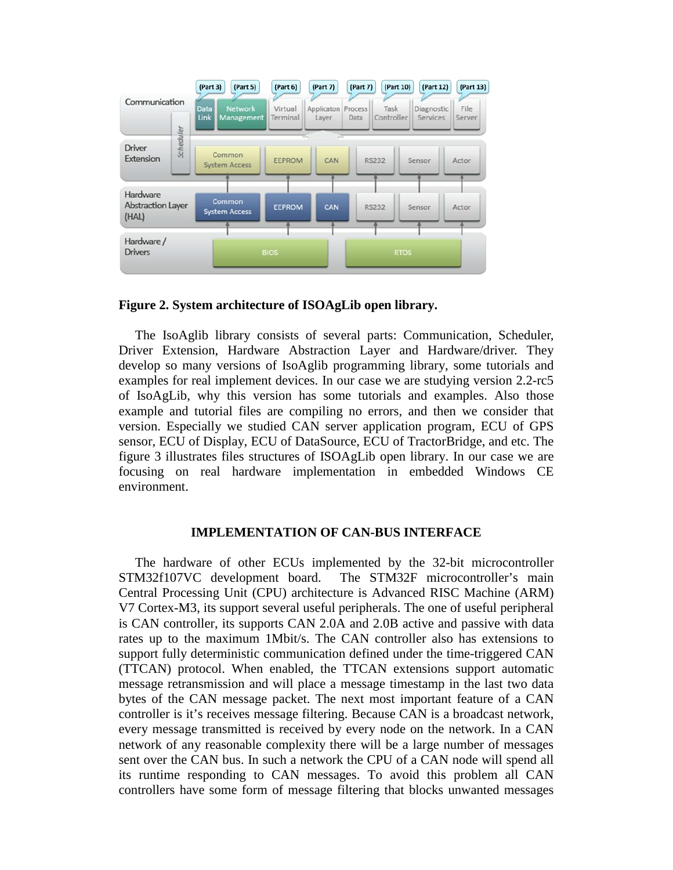

**Figure 2. System architecture of ISOAgLib open library.**

 The IsoAglib library consists of several parts: Communication, Scheduler, Driver Extension, Hardware Abstraction Layer and Hardware/driver. They develop so many versions of IsoAglib programming library, some tutorials and examples for real implement devices. In our case we are studying version 2.2-rc5 of IsoAgLib, why this version has some tutorials and examples. Also those example and tutorial files are compiling no errors, and then we consider that version. Especially we studied CAN server application program, ECU of GPS sensor, ECU of Display, ECU of DataSource, ECU of TractorBridge, and etc. The figure 3 illustrates files structures of ISOAgLib open library. In our case we are focusing on real hardware implementation in embedded Windows CE environment.

## **IMPLEMENTATION OF CAN-BUS INTERFACE**

 The hardware of other ECUs implemented by the 32-bit microcontroller STM32f107VC development board. The STM32F microcontroller's main Central Processing Unit (CPU) architecture is Advanced RISC Machine (ARM) V7 Cortex-M3, its support several useful peripherals. The one of useful peripheral is CAN controller, its supports CAN 2.0A and 2.0B active and passive with data rates up to the maximum 1Mbit/s. The CAN controller also has extensions to support fully deterministic communication defined under the time-triggered CAN (TTCAN) protocol. When enabled, the TTCAN extensions support automatic message retransmission and will place a message timestamp in the last two data bytes of the CAN message packet. The next most important feature of a CAN controller is it's receives message filtering. Because CAN is a broadcast network, every message transmitted is received by every node on the network. In a CAN network of any reasonable complexity there will be a large number of messages sent over the CAN bus. In such a network the CPU of a CAN node will spend all its runtime responding to CAN messages. To avoid this problem all CAN controllers have some form of message filtering that blocks unwanted messages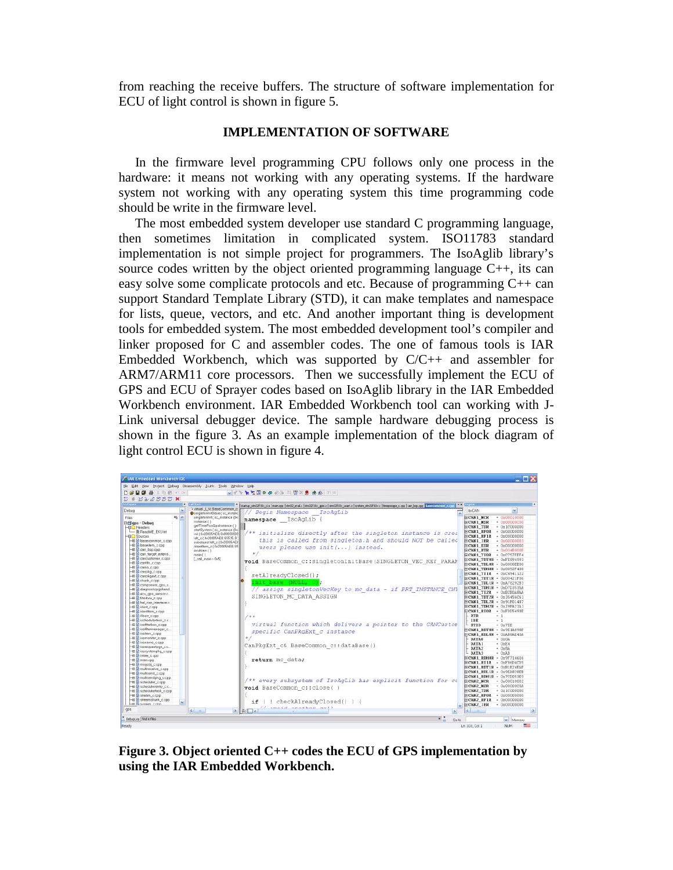from reaching the receive buffers. The structure of software implementation for ECU of light control is shown in figure 5.

## **IMPLEMENTATION OF SOFTWARE**

 In the firmware level programming CPU follows only one process in the hardware: it means not working with any operating systems. If the hardware system not working with any operating system this time programming code should be write in the firmware level.

 The most embedded system developer use standard C programming language, then sometimes limitation in complicated system. ISO11783 standard implementation is not simple project for programmers. The IsoAglib library's source codes written by the object oriented programming language  $C_{++}$ , its can easy solve some complicate protocols and etc. Because of programming  $C++$  can support Standard Template Library (STD), it can make templates and namespace for lists, queue, vectors, and etc. And another important thing is development tools for embedded system. The most embedded development tool's compiler and linker proposed for C and assembler codes. The one of famous tools is IAR Embedded Workbench, which was supported by C/C++ and assembler for ARM7/ARM11 core processors. Then we successfully implement the ECU of GPS and ECU of Sprayer codes based on IsoAglib library in the IAR Embedded Workbench environment. IAR Embedded Workbench tool can working with J-Link universal debugger device. The sample hardware debugging process is shown in the figure 3. As an example implementation of the block diagram of light control ECU is shown in figure 4.



**Figure 3. Object oriented C++ codes the ECU of GPS implementation by using the IAR Embedded Workbench.**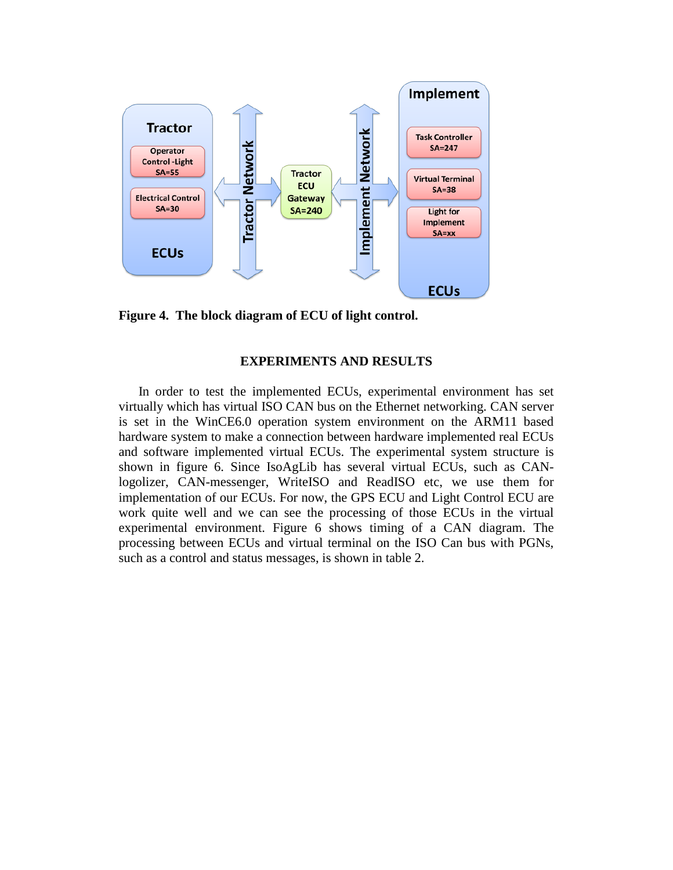

**Figure 4. The block diagram of ECU of light control.**

# **EXPERIMENTS AND RESULTS**

 In order to test the implemented ECUs, experimental environment has set virtually which has virtual ISO CAN bus on the Ethernet networking. CAN server is set in the WinCE6.0 operation system environment on the ARM11 based hardware system to make a connection between hardware implemented real ECUs and software implemented virtual ECUs. The experimental system structure is shown in figure 6. Since IsoAgLib has several virtual ECUs, such as CANlogolizer, CAN-messenger, WriteISO and ReadISO etc, we use them for implementation of our ECUs. For now, the GPS ECU and Light Control ECU are work quite well and we can see the processing of those ECUs in the virtual experimental environment. Figure 6 shows timing of a CAN diagram. The processing between ECUs and virtual terminal on the ISO Can bus with PGNs, such as a control and status messages, is shown in table 2.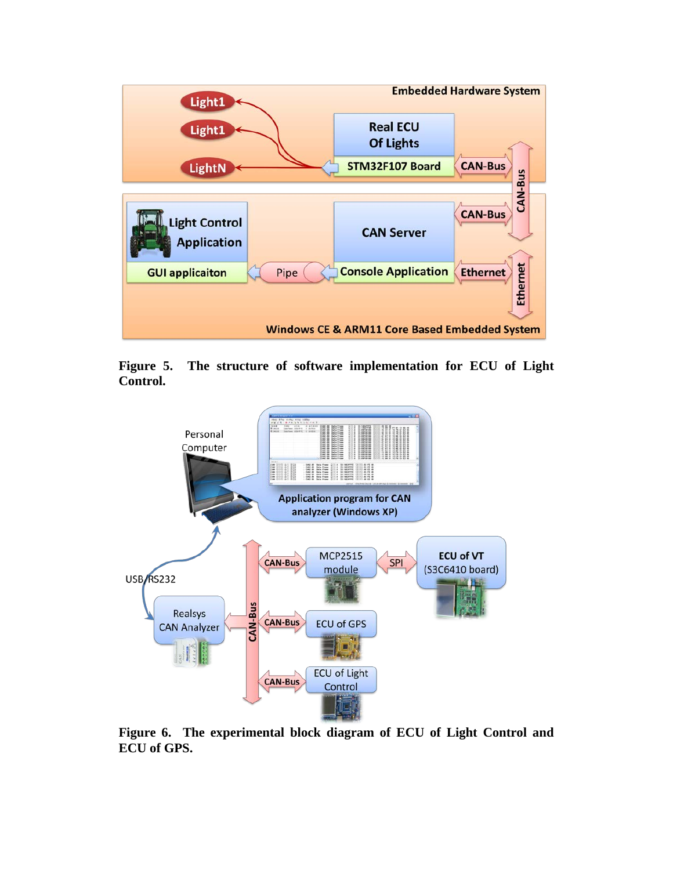

**Figure 5. The structure of software implementation for ECU of Light Control.**



**Figure 6. The experimental block diagram of ECU of Light Control and ECU of GPS.**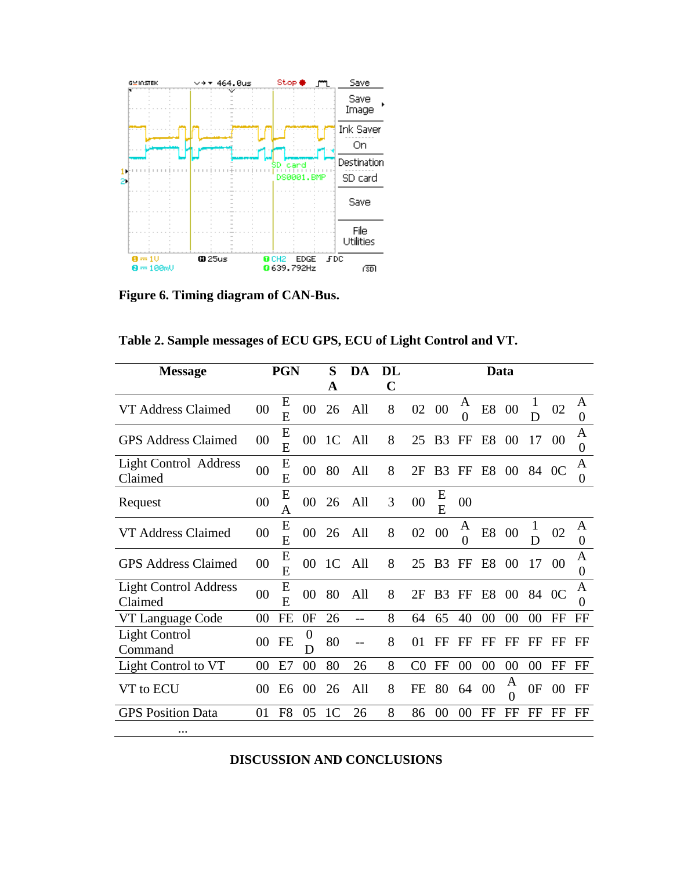

**Figure 6. Timing diagram of CAN-Bus.**

| Table 2. Sample messages of ECU GPS, ECU of Light Control and VT. |  |  |  |  |
|-------------------------------------------------------------------|--|--|--|--|
|-------------------------------------------------------------------|--|--|--|--|

| <b>Message</b>                          | <b>PGN</b> |        | S              | DA             | <b>DL</b> | Data |                |                 |                     |                |               |        |                |                       |
|-----------------------------------------|------------|--------|----------------|----------------|-----------|------|----------------|-----------------|---------------------|----------------|---------------|--------|----------------|-----------------------|
|                                         |            |        |                | A              |           | C    |                |                 |                     |                |               |        |                |                       |
| VT Address Claimed                      | 00         | E<br>E | 00             | 26             | All       | 8    | 02             | $\overline{00}$ | A<br>$\theta$       | E <sub>8</sub> | 00            | 1<br>D | 02             | A<br>$\boldsymbol{0}$ |
| <b>GPS Address Claimed</b>              | 00         | E<br>E | $00\,$         | 1 <sup>C</sup> | All       | 8    | 25             | B <sub>3</sub>  | FF                  | E <sub>8</sub> | 00            | 17     | 00             | A<br>$\boldsymbol{0}$ |
| <b>Light Control Address</b><br>Claimed | 00         | E<br>E | 00             | 80             | All       | 8    | 2F             | B <sub>3</sub>  | FF                  | E <sub>8</sub> | 00            |        | 84 OC          | A<br>0                |
| Request                                 | 00         | E<br>A | 0 <sup>0</sup> | 26             | All       | 3    | 00             | Ε<br>E          | 00                  |                |               |        |                |                       |
| VT Address Claimed                      | 00         | E<br>E | 00             | 26             | All       | 8    | 02             | 00              | A<br>$\overline{0}$ | E8             | 00            | 1<br>D | 02             | A<br>$\overline{0}$   |
| <b>GPS Address Claimed</b>              | 00         | E<br>E | 00             | 1 <sup>C</sup> | All       | 8    | 25             | B <sub>3</sub>  | FF                  | E <sub>8</sub> | 00            | 17     | 00             | A<br>0                |
| <b>Light Control Address</b><br>Claimed | 00         | E<br>E | 00             | 80             | All       | 8    | 2F             | B <sub>3</sub>  | FF                  | E <sub>8</sub> | 00            | 84     | 0 <sup>C</sup> | A<br>$\overline{0}$   |
| VT Language Code                        | 00         | FE     | 0F             | 26             | $-$       | 8    | 64             | 65              | 40                  | 00             | 00            | 00     | FF             | $_{\rm FF}$           |
| Light Control<br>Command                | $00\,$     | FE     | 0<br>D         | 80             | --        | 8    | 01             | FF              | FF                  | FF             | FF            | FF     | FF             | FF                    |
| Light Control to VT                     | 00         | E7     | 00             | 80             | 26        | 8    | C <sub>0</sub> | FF              | 00                  | 00             | 00            | 00     | FF             | $_{\rm FF}$           |
| VT to ECU                               | 00         | E6     | 00             | 26             | All       | 8    | FE             | 80              | 64                  | 00             | A<br>$\theta$ | 0F     | 00             | FF                    |
| <b>GPS</b> Position Data                | 01         | F8     | 05             | 1 <sup>C</sup> | 26        | 8    | 86             | 00              | 00                  | FF             | FF            | FF     | FF             | FF                    |
| $\ddotsc$                               |            |        |                |                |           |      |                |                 |                     |                |               |        |                |                       |

**DISCUSSION AND CONCLUSIONS**